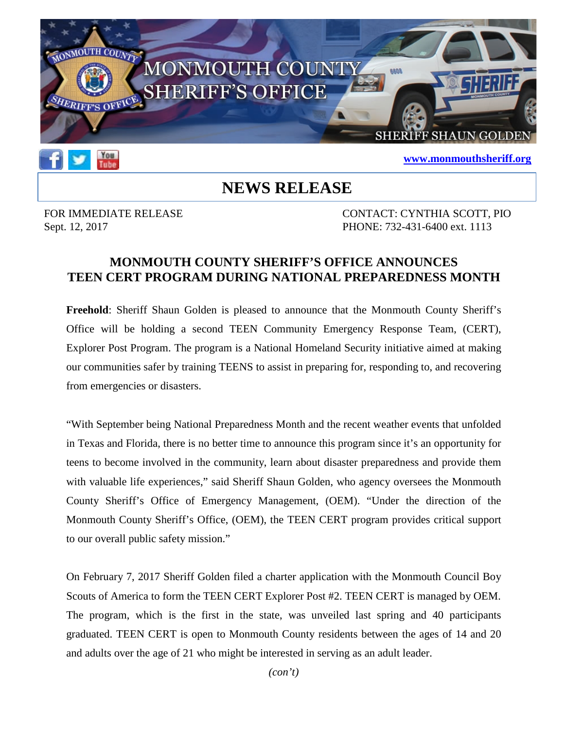

## **[www.monmouthsheriff.org](http://www.monmouthsheriff.org/)**

## **NEWS RELEASE**

Tube

FOR IMMEDIATE RELEASE CONTACT: CYNTHIA SCOTT, PIO Sept. 12, 2017 **PHONE:** 732-431-6400 ext. 1113

## **MONMOUTH COUNTY SHERIFF'S OFFICE ANNOUNCES TEEN CERT PROGRAM DURING NATIONAL PREPAREDNESS MONTH**

**Freehold**: Sheriff Shaun Golden is pleased to announce that the Monmouth County Sheriff's Office will be holding a second TEEN Community Emergency Response Team, (CERT), Explorer Post Program. The program is a National Homeland Security initiative aimed at making our communities safer by training TEENS to assist in preparing for, responding to, and recovering from emergencies or disasters.

"With September being National Preparedness Month and the recent weather events that unfolded in Texas and Florida, there is no better time to announce this program since it's an opportunity for teens to become involved in the community, learn about disaster preparedness and provide them with valuable life experiences," said Sheriff Shaun Golden, who agency oversees the Monmouth County Sheriff's Office of Emergency Management, (OEM). "Under the direction of the Monmouth County Sheriff's Office, (OEM), the TEEN CERT program provides critical support to our overall public safety mission."

On February 7, 2017 Sheriff Golden filed a charter application with the Monmouth Council Boy Scouts of America to form the TEEN CERT Explorer Post #2. TEEN CERT is managed by OEM. The program, which is the first in the state, was unveiled last spring and 40 participants graduated. TEEN CERT is open to Monmouth County residents between the ages of 14 and 20 and adults over the age of 21 who might be interested in serving as an adult leader.